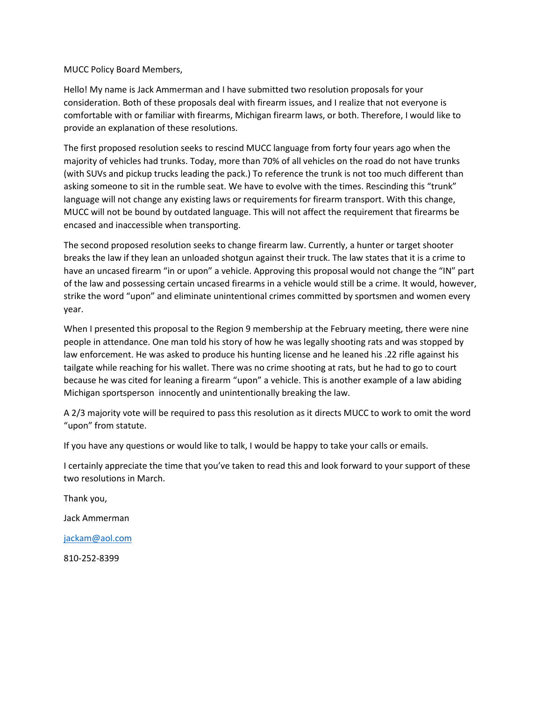## MUCC Policy Board Members,

Hello! My name is Jack Ammerman and I have submitted two resolution proposals for your consideration. Both of these proposals deal with firearm issues, and I realize that not everyone is comfortable with or familiar with firearms, Michigan firearm laws, or both. Therefore, I would like to provide an explanation of these resolutions.

The first proposed resolution seeks to rescind MUCC language from forty four years ago when the majority of vehicles had trunks. Today, more than 70% of all vehicles on the road do not have trunks (with SUVs and pickup trucks leading the pack.) To reference the trunk is not too much different than asking someone to sit in the rumble seat. We have to evolve with the times. Rescinding this "trunk" language will not change any existing laws or requirements for firearm transport. With this change, MUCC will not be bound by outdated language. This will not affect the requirement that firearms be encased and inaccessible when transporting.

The second proposed resolution seeks to change firearm law. Currently, a hunter or target shooter breaks the law if they lean an unloaded shotgun against their truck. The law states that it is a crime to have an uncased firearm "in or upon" a vehicle. Approving this proposal would not change the "IN" part of the law and possessing certain uncased firearms in a vehicle would still be a crime. It would, however, strike the word "upon" and eliminate unintentional crimes committed by sportsmen and women every year.

When I presented this proposal to the Region 9 membership at the February meeting, there were nine people in attendance. One man told his story of how he was legally shooting rats and was stopped by law enforcement. He was asked to produce his hunting license and he leaned his .22 rifle against his tailgate while reaching for his wallet. There was no crime shooting at rats, but he had to go to court because he was cited for leaning a firearm "upon" a vehicle. This is another example of a law abiding Michigan sportsperson innocently and unintentionally breaking the law.

A 2/3 majority vote will be required to pass this resolution as it directs MUCC to work to omit the word "upon" from statute.

If you have any questions or would like to talk, I would be happy to take your calls or emails.

I certainly appreciate the time that you've taken to read this and look forward to your support of these two resolutions in March.

Thank you,

Jack Ammerman

[jackam@aol.com](mailto:jackam@aol.com)

810-252-8399